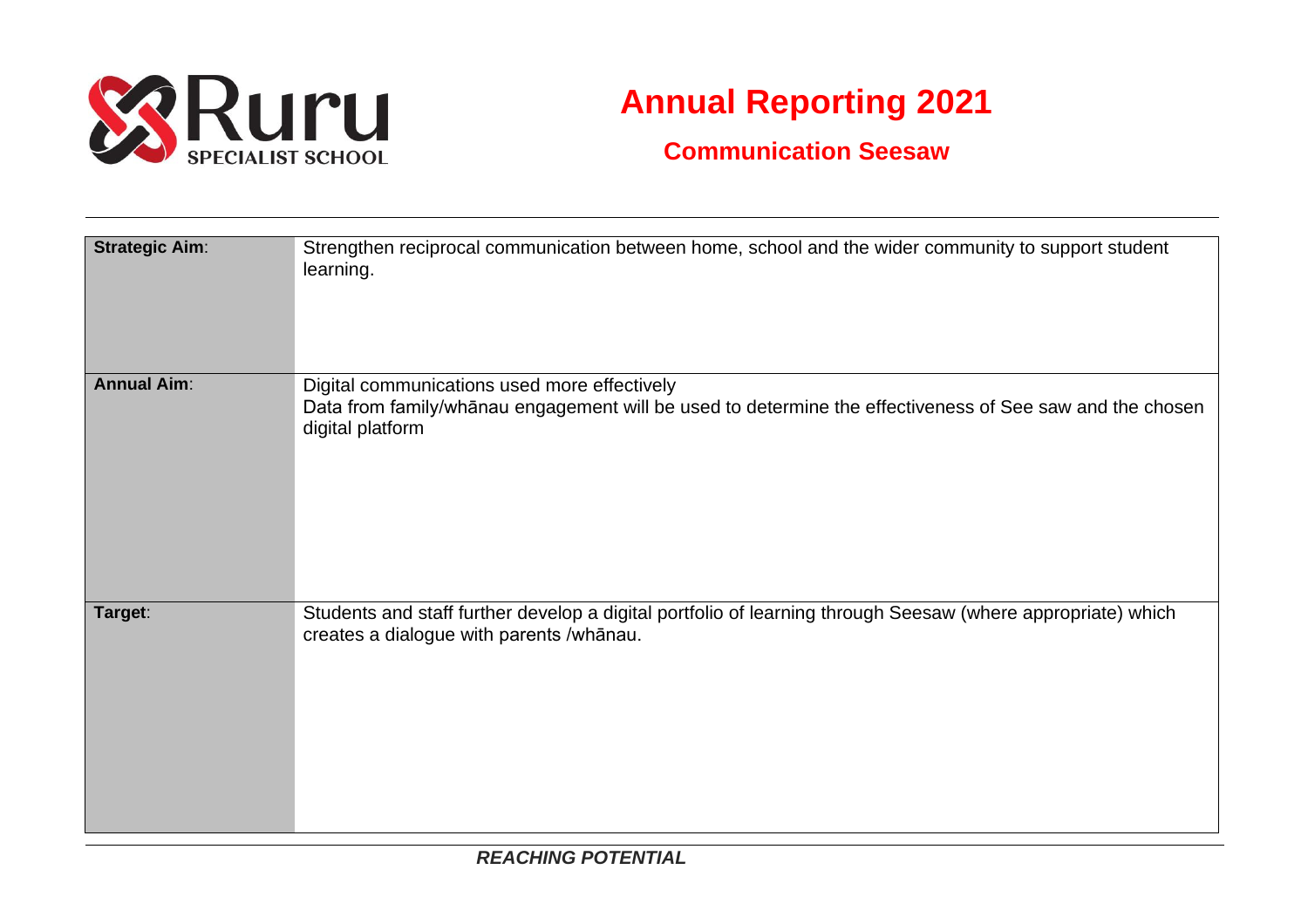

## **Annual Reporting 2021**

## **Communication Seesaw**

| <b>Strategic Aim:</b> | Strengthen reciprocal communication between home, school and the wider community to support student<br>learning.                                                             |
|-----------------------|------------------------------------------------------------------------------------------------------------------------------------------------------------------------------|
| <b>Annual Aim:</b>    | Digital communications used more effectively<br>Data from family/whanau engagement will be used to determine the effectiveness of See saw and the chosen<br>digital platform |
| Target:               | Students and staff further develop a digital portfolio of learning through Seesaw (where appropriate) which<br>creates a dialogue with parents /whānau.                      |